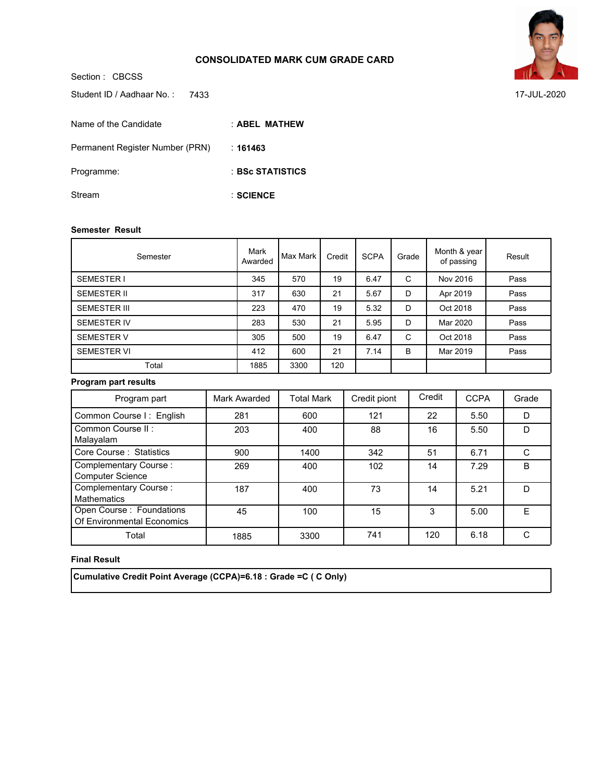### **CONSOLIDATED MARK CUM GRADE CARD**



**SCIENCE** :

#### **Semester Result**

Stream

| Semester            | Mark<br>Awarded | Max Mark | Credit | <b>SCPA</b> | Grade | Month & year<br>of passing | Result |
|---------------------|-----------------|----------|--------|-------------|-------|----------------------------|--------|
| <b>SEMESTER I</b>   | 345             | 570      | 19     | 6.47        | C     | Nov 2016                   | Pass   |
| <b>SEMESTER II</b>  | 317             | 630      | 21     | 5.67        | D     | Apr 2019                   | Pass   |
| <b>SEMESTER III</b> | 223             | 470      | 19     | 5.32        | D     | Oct 2018                   | Pass   |
| <b>SEMESTER IV</b>  | 283             | 530      | 21     | 5.95        | D     | Mar 2020                   | Pass   |
| <b>SEMESTER V</b>   | 305             | 500      | 19     | 6.47        | C     | Oct 2018                   | Pass   |
| <b>SEMESTER VI</b>  | 412             | 600      | 21     | 7.14        | B     | Mar 2019                   | Pass   |
| Total               | 1885            | 3300     | 120    |             |       |                            |        |

#### **Program part results**

| Program part                                            | Mark Awarded | <b>Total Mark</b> | Credit piont | Credit | <b>CCPA</b> | Grade        |
|---------------------------------------------------------|--------------|-------------------|--------------|--------|-------------|--------------|
| Common Course I: English                                | 281          | 600               | 121          | 22     | 5.50        | D            |
| Common Course II:<br>Malayalam                          | 203          | 400               | 88           | 16     | 5.50        | D            |
| Core Course: Statistics                                 | 900          | 1400              | 342          | 51     | 6.71        |              |
| <b>Complementary Course:</b><br><b>Computer Science</b> | 269          | 400               | 102          | 14     | 7.29        | <sub>B</sub> |
| Complementary Course:<br><b>Mathematics</b>             | 187          | 400               | 73           | 14     | 5.21        | D            |
| Open Course : Foundations<br>Of Environmental Economics | 45           | 100               | 15           | 3      | 5.00        | F            |
| Total                                                   | 1885         | 3300              | 741          | 120    | 6.18        |              |

## **Final Result**

 **Cumulative Credit Point Average (CCPA)=6.18 : Grade =C ( C Only)**



7433 17-JUL-2020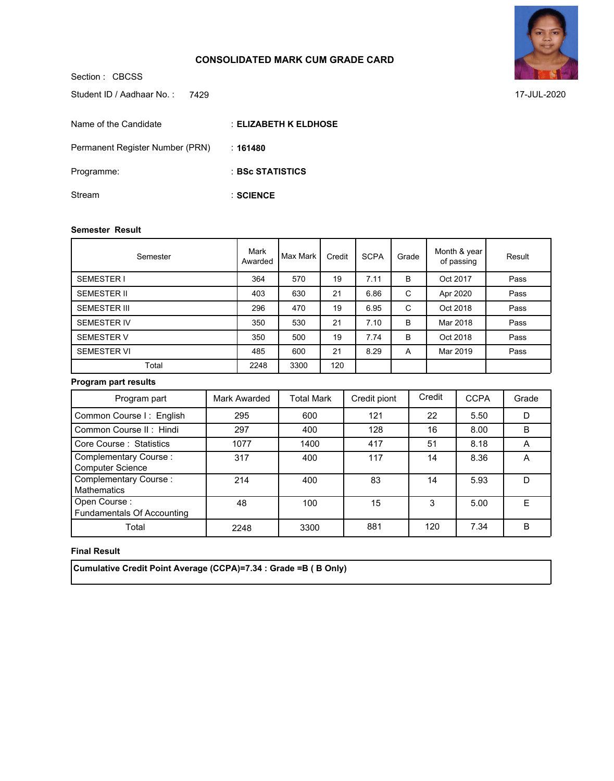## **CONSOLIDATED MARK CUM GRADE CARD**



7429 17-JUL-2020

**ELIZABETH K ELDHOSE** : **161480** : **BSc STATISTICS** : **SCIENCE** : Student ID / Aadhaar No.: 7429 Name of the Candidate Permanent Register Number (PRN) Programme: Stream

#### **Semester Result**

Section : CBCSS

| Semester            | Mark<br>Awarded | Max Mark | Credit | <b>SCPA</b> | Grade | Month & year<br>of passing | Result |
|---------------------|-----------------|----------|--------|-------------|-------|----------------------------|--------|
| <b>SEMESTER I</b>   | 364             | 570      | 19     | 7.11        | B     | Oct 2017                   | Pass   |
| <b>SEMESTER II</b>  | 403             | 630      | 21     | 6.86        | C     | Apr 2020                   | Pass   |
| <b>SEMESTER III</b> | 296             | 470      | 19     | 6.95        | C     | Oct 2018                   | Pass   |
| <b>SEMESTER IV</b>  | 350             | 530      | 21     | 7.10        | B     | Mar 2018                   | Pass   |
| <b>SEMESTER V</b>   | 350             | 500      | 19     | 7.74        | B     | Oct 2018                   | Pass   |
| <b>SEMESTER VI</b>  | 485             | 600      | 21     | 8.29        | A     | Mar 2019                   | Pass   |
| Total               | 2248            | 3300     | 120    |             |       |                            |        |

## **Program part results**

| Program part                                      | Mark Awarded | <b>Total Mark</b> | Credit piont | Credit | <b>CCPA</b> | Grade |
|---------------------------------------------------|--------------|-------------------|--------------|--------|-------------|-------|
| Common Course I: English                          | 295          | 600               | 121          | 22     | 5.50        | D     |
| Common Course II: Hindi                           | 297          | 400               | 128          | 16     | 8.00        | B     |
| Core Course: Statistics                           | 1077         | 1400              | 417          | 51     | 8.18        | А     |
| Complementary Course:<br><b>Computer Science</b>  | 317          | 400               | 117          | 14     | 8.36        | A     |
| Complementary Course:<br><b>Mathematics</b>       | 214          | 400               | 83           | 14     | 5.93        | D     |
| Open Course:<br><b>Fundamentals Of Accounting</b> | 48           | 100               | 15           | 3      | 5.00        | F     |
| Total                                             | 2248         | 3300              | 881          | 120    | 7.34        | B     |

#### **Final Result**

 **Cumulative Credit Point Average (CCPA)=7.34 : Grade =B ( B Only)**